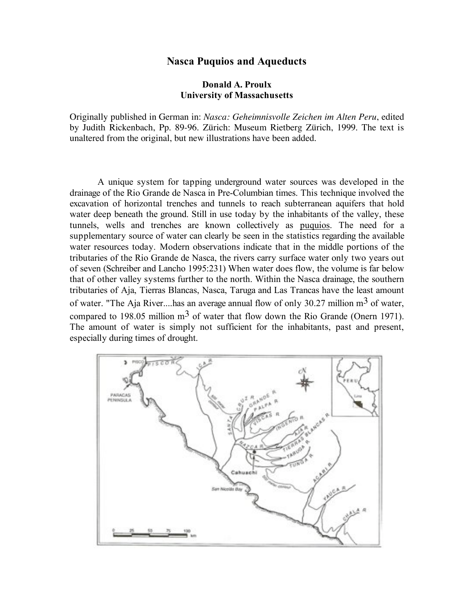# **Nasca Puquios and Aqueducts**

# **Donald A. Proulx University of Massachusetts**

Originally published in German in: *Nasca: Geheimnisvolle Zeichen im Alten Peru*, edited by Judith Rickenbach, Pp. 89-96. Zürich: Museum Rietberg Zürich, 1999. The text is unaltered from the original, but new illustrations have been added.

A unique system for tapping underground water sources was developed in the drainage of the Rio Grande de Nasca in Pre-Columbian times. This technique involved the excavation of horizontal trenches and tunnels to reach subterranean aquifers that hold water deep beneath the ground. Still in use today by the inhabitants of the valley, these tunnels, wells and trenches are known collectively as puquios. The need for a supplementary source of water can clearly be seen in the statistics regarding the available water resources today. Modern observations indicate that in the middle portions of the tributaries of the Rio Grande de Nasca, the rivers carry surface water only two years out of seven (Schreiber and Lancho 1995:231) When water does flow, the volume is far below that of other valley systems further to the north. Within the Nasca drainage, the southern tributaries of Aja, Tierras Blancas, Nasca, Taruga and Las Trancas have the least amount of water. "The Aja River....has an average annual flow of only 30.27 million  $m<sup>3</sup>$  of water, compared to 198.05 million  $m<sup>3</sup>$  of water that flow down the Rio Grande (Onern 1971). The amount of water is simply not sufficient for the inhabitants, past and present, especially during times of drought.

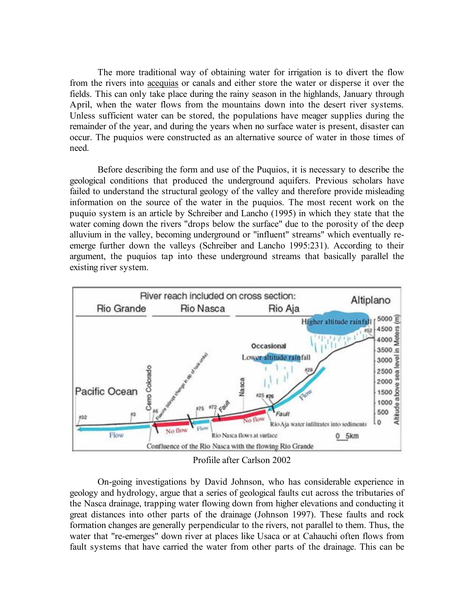The more traditional way of obtaining water for irrigation is to divert the flow from the rivers into acequias or canals and either store the water or disperse it over the fields. This can only take place during the rainy season in the highlands, January through April, when the water flows from the mountains down into the desert river systems. Unless sufficient water can be stored, the populations have meager supplies during the remainder of the year, and during the years when no surface water is present, disaster can occur. The puquios were constructed as an alternative source of water in those times of need.

Before describing the form and use of the Puquios, it is necessary to describe the geological conditions that produced the underground aquifers. Previous scholars have failed to understand the structural geology of the valley and therefore provide misleading information on the source of the water in the puquios. The most recent work on the puquio system is an article by Schreiber and Lancho (1995) in which they state that the water coming down the rivers "drops below the surface" due to the porosity of the deep alluvium in the valley, becoming underground or "influent" streams" which eventually reemerge further down the valleys (Schreiber and Lancho 1995:231). According to their argument, the puquios tap into these underground streams that basically parallel the existing river system.



Profiile after Carlson 2002

On-going investigations by David Johnson, who has considerable experience in geology and hydrology, argue that a series of geological faults cut across the tributaries of the Nasca drainage, trapping water flowing down from higher elevations and conducting it great distances into other parts of the drainage (Johnson 1997). These faults and rock formation changes are generally perpendicular to the rivers, not parallel to them. Thus, the water that "re-emerges" down river at places like Usaca or at Cahauchi often flows from fault systems that have carried the water from other parts of the drainage. This can be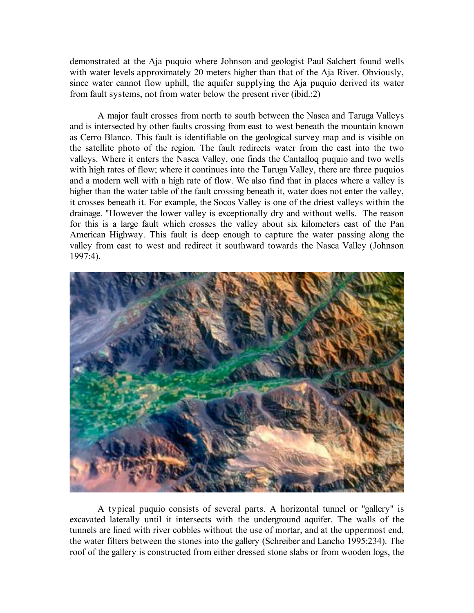demonstrated at the Aja puquio where Johnson and geologist Paul Salchert found wells with water levels approximately 20 meters higher than that of the Aja River. Obviously, since water cannot flow uphill, the aquifer supplying the Aja puquio derived its water from fault systems, not from water below the present river (ibid.:2)

A major fault crosses from north to south between the Nasca and Taruga Valleys and is intersected by other faults crossing from east to west beneath the mountain known as Cerro Blanco. This fault is identifiable on the geological survey map and is visible on the satellite photo of the region. The fault redirects water from the east into the two valleys. Where it enters the Nasca Valley, one finds the Cantalloq puquio and two wells with high rates of flow; where it continues into the Taruga Valley, there are three puquios and a modern well with a high rate of flow. We also find that in places where a valley is higher than the water table of the fault crossing beneath it, water does not enter the valley, it crosses beneath it. For example, the Socos Valley is one of the driest valleys within the drainage. "However the lower valley is exceptionally dry and without wells. The reason for this is a large fault which crosses the valley about six kilometers east of the Pan American Highway. This fault is deep enough to capture the water passing along the valley from east to west and redirect it southward towards the Nasca Valley (Johnson 1997:4).



A typical puquio consists of several parts. A horizontal tunnel or "gallery" is excavated laterally until it intersects with the underground aquifer. The walls of the tunnels are lined with river cobbles without the use of mortar, and at the uppermost end, the water filters between the stones into the gallery (Schreiber and Lancho 1995:234). The roof of the gallery is constructed from either dressed stone slabs or from wooden logs, the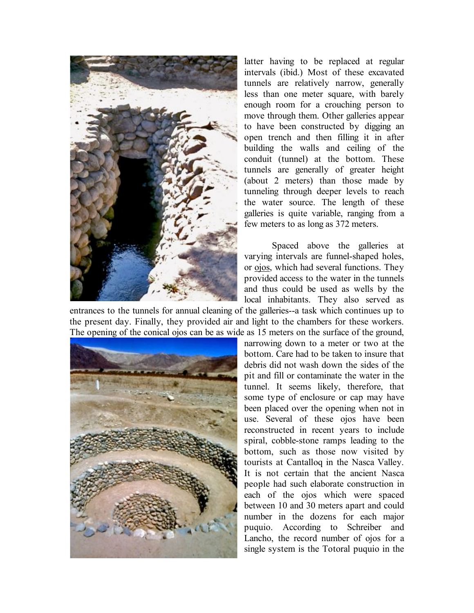

latter having to be replaced at regular intervals (ibid.) Most of these excavated tunnels are relatively narrow, generally less than one meter square, with barely enough room for a crouching person to move through them. Other galleries appear to have been constructed by digging an open trench and then filling it in after building the walls and ceiling of the conduit (tunnel) at the bottom. These tunnels are generally of greater height (about 2 meters) than those made by tunneling through deeper levels to reach the water source. The length of these galleries is quite variable, ranging from a few meters to as long as 372 meters.

Spaced above the galleries at varying intervals are funnel-shaped holes, or ojos, which had several functions. They provided access to the water in the tunnels and thus could be used as wells by the local inhabitants. They also served as

entrances to the tunnels for annual cleaning of the galleries--a task which continues up to the present day. Finally, they provided air and light to the chambers for these workers. The opening of the conical ojos can be as wide as 15 meters on the surface of the ground,



narrowing down to a meter or two at the bottom. Care had to be taken to insure that debris did not wash down the sides of the pit and fill or contaminate the water in the tunnel. It seems likely, therefore, that some type of enclosure or cap may have been placed over the opening when not in use. Several of these ojos have been reconstructed in recent years to include spiral, cobble-stone ramps leading to the bottom, such as those now visited by tourists at Cantalloq in the Nasca Valley. It is not certain that the ancient Nasca people had such elaborate construction in each of the ojos which were spaced between 10 and 30 meters apart and could number in the dozens for each major puquio. According to Schreiber and Lancho, the record number of ojos for a single system is the Totoral puquio in the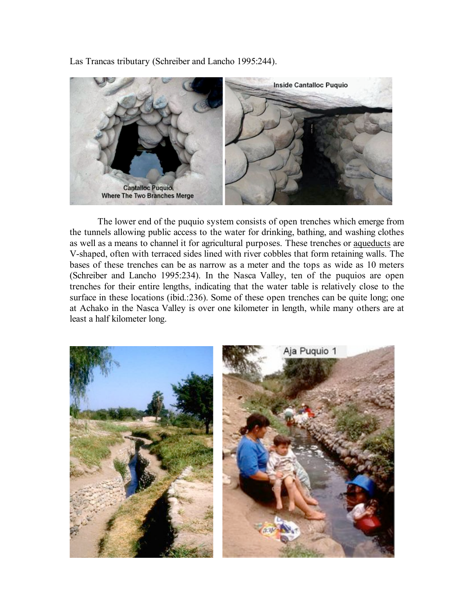Las Trancas tributary (Schreiber and Lancho 1995:244).



The lower end of the puquio system consists of open trenches which emerge from the tunnels allowing public access to the water for drinking, bathing, and washing clothes as well as a means to channel it for agricultural purposes. These trenches or aqueducts are V-shaped, often with terraced sides lined with river cobbles that form retaining walls. The bases of these trenches can be as narrow as a meter and the tops as wide as 10 meters (Schreiber and Lancho 1995:234). In the Nasca Valley, ten of the puquios are open trenches for their entire lengths, indicating that the water table is relatively close to the surface in these locations (ibid.:236). Some of these open trenches can be quite long; one at Achako in the Nasca Valley is over one kilometer in length, while many others are at least a half kilometer long.

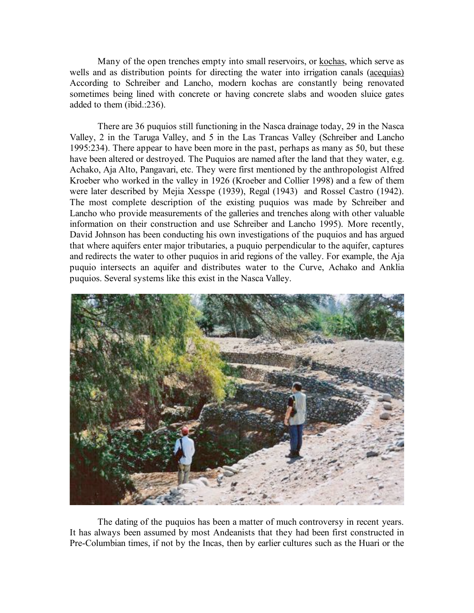Many of the open trenches empty into small reservoirs, or kochas, which serve as wells and as distribution points for directing the water into irrigation canals (acequias) According to Schreiber and Lancho, modern kochas are constantly being renovated sometimes being lined with concrete or having concrete slabs and wooden sluice gates added to them (ibid.:236).

There are 36 puquios still functioning in the Nasca drainage today, 29 in the Nasca Valley, 2 in the Taruga Valley, and 5 in the Las Trancas Valley (Schreiber and Lancho 1995:234). There appear to have been more in the past, perhaps as many as 50, but these have been altered or destroyed. The Puquios are named after the land that they water, e.g. Achako, Aja Alto, Pangavari, etc. They were first mentioned by the anthropologist Alfred Kroeber who worked in the valley in 1926 (Kroeber and Collier 1998) and a few of them were later described by Mejia Xesspe (1939), Regal (1943) and Rossel Castro (1942). The most complete description of the existing puquios was made by Schreiber and Lancho who provide measurements of the galleries and trenches along with other valuable information on their construction and use Schreiber and Lancho 1995). More recently, David Johnson has been conducting his own investigations of the puquios and has argued that where aquifers enter major tributaries, a puquio perpendicular to the aquifer, captures and redirects the water to other puquios in arid regions of the valley. For example, the Aja puquio intersects an aquifer and distributes water to the Curve, Achako and Anklia puquios. Several systems like this exist in the Nasca Valley.



The dating of the puquios has been a matter of much controversy in recent years. It has always been assumed by most Andeanists that they had been first constructed in Pre-Columbian times, if not by the Incas, then by earlier cultures such as the Huari or the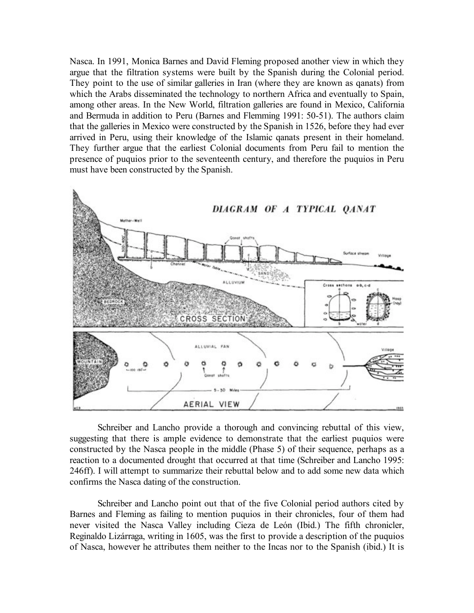Nasca. In 1991, Monica Barnes and David Fleming proposed another view in which they argue that the filtration systems were built by the Spanish during the Colonial period. They point to the use of similar galleries in Iran (where they are known as qanats) from which the Arabs disseminated the technology to northern Africa and eventually to Spain, among other areas. In the New World, filtration galleries are found in Mexico, California and Bermuda in addition to Peru (Barnes and Flemming 1991: 50-51). The authors claim that the galleries in Mexico were constructed by the Spanish in 1526, before they had ever arrived in Peru, using their knowledge of the Islamic qanats present in their homeland. They further argue that the earliest Colonial documents from Peru fail to mention the presence of puquios prior to the seventeenth century, and therefore the puquios in Peru must have been constructed by the Spanish.



Schreiber and Lancho provide a thorough and convincing rebuttal of this view, suggesting that there is ample evidence to demonstrate that the earliest puquios were constructed by the Nasca people in the middle (Phase 5) of their sequence, perhaps as a reaction to a documented drought that occurred at that time (Schreiber and Lancho 1995: 246ff). I will attempt to summarize their rebuttal below and to add some new data which confirms the Nasca dating of the construction.

Schreiber and Lancho point out that of the five Colonial period authors cited by Barnes and Fleming as failing to mention puquios in their chronicles, four of them had never visited the Nasca Valley including Cieza de León (Ibid.) The fifth chronicler, Reginaldo Lizárraga, writing in 1605, was the first to provide a description of the puquios of Nasca, however he attributes them neither to the Incas nor to the Spanish (ibid.) It is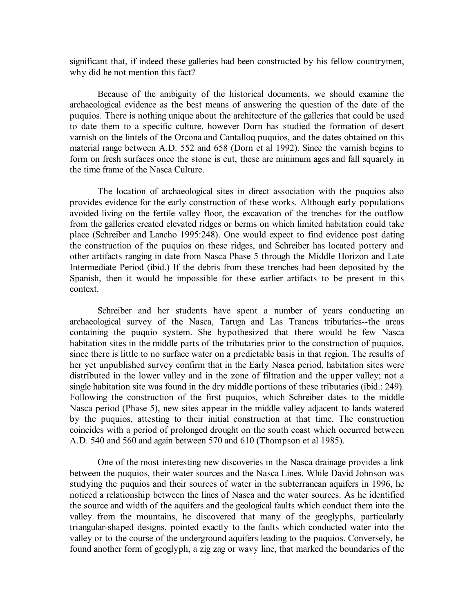significant that, if indeed these galleries had been constructed by his fellow countrymen, why did he not mention this fact?

Because of the ambiguity of the historical documents, we should examine the archaeological evidence as the best means of answering the question of the date of the puquios. There is nothing unique about the architecture of the galleries that could be used to date them to a specific culture, however Dorn has studied the formation of desert varnish on the lintels of the Orcona and Cantalloq puquios, and the dates obtained on this material range between A.D. 552 and 658 (Dorn et al 1992). Since the varnish begins to form on fresh surfaces once the stone is cut, these are minimum ages and fall squarely in the time frame of the Nasca Culture.

The location of archaeological sites in direct association with the puquios also provides evidence for the early construction of these works. Although early populations avoided living on the fertile valley floor, the excavation of the trenches for the outflow from the galleries created elevated ridges or berms on which limited habitation could take place (Schreiber and Lancho 1995:248). One would expect to find evidence post dating the construction of the puquios on these ridges, and Schreiber has located pottery and other artifacts ranging in date from Nasca Phase 5 through the Middle Horizon and Late Intermediate Period (ibid.) If the debris from these trenches had been deposited by the Spanish, then it would be impossible for these earlier artifacts to be present in this context.

Schreiber and her students have spent a number of years conducting an archaeological survey of the Nasca, Taruga and Las Trancas tributaries--the areas containing the puquio system. She hypothesized that there would be few Nasca habitation sites in the middle parts of the tributaries prior to the construction of puquios, since there is little to no surface water on a predictable basis in that region. The results of her yet unpublished survey confirm that in the Early Nasca period, habitation sites were distributed in the lower valley and in the zone of filtration and the upper valley; not a single habitation site was found in the dry middle portions of these tributaries (ibid.: 249). Following the construction of the first puquios, which Schreiber dates to the middle Nasca period (Phase 5), new sites appear in the middle valley adjacent to lands watered by the puquios, attesting to their initial construction at that time. The construction coincides with a period of prolonged drought on the south coast which occurred between A.D. 540 and 560 and again between 570 and 610 (Thompson et al 1985).

One of the most interesting new discoveries in the Nasca drainage provides a link between the puquios, their water sources and the Nasca Lines. While David Johnson was studying the puquios and their sources of water in the subterranean aquifers in 1996, he noticed a relationship between the lines of Nasca and the water sources. As he identified the source and width of the aquifers and the geological faults which conduct them into the valley from the mountains, he discovered that many of the geoglyphs, particularly triangular-shaped designs, pointed exactly to the faults which conducted water into the valley or to the course of the underground aquifers leading to the puquios. Conversely, he found another form of geoglyph, a zig zag or wavy line, that marked the boundaries of the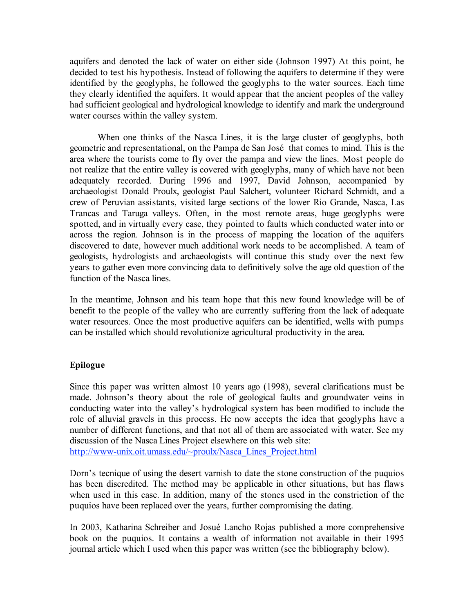aquifers and denoted the lack of water on either side (Johnson 1997) At this point, he decided to test his hypothesis. Instead of following the aquifers to determine if they were identified by the geoglyphs, he followed the geoglyphs to the water sources. Each time they clearly identified the aquifers. It would appear that the ancient peoples of the valley had sufficient geological and hydrological knowledge to identify and mark the underground water courses within the valley system.

When one thinks of the Nasca Lines, it is the large cluster of geoglyphs, both geometric and representational, on the Pampa de San José that comes to mind. This is the area where the tourists come to fly over the pampa and view the lines. Most people do not realize that the entire valley is covered with geoglyphs, many of which have not been adequately recorded. During 1996 and 1997, David Johnson, accompanied by archaeologist Donald Proulx, geologist Paul Salchert, volunteer Richard Schmidt, and a crew of Peruvian assistants, visited large sections of the lower Rio Grande, Nasca, Las Trancas and Taruga valleys. Often, in the most remote areas, huge geoglyphs were spotted, and in virtually every case, they pointed to faults which conducted water into or across the region. Johnson is in the process of mapping the location of the aquifers discovered to date, however much additional work needs to be accomplished. A team of geologists, hydrologists and archaeologists will continue this study over the next few years to gather even more convincing data to definitively solve the age old question of the function of the Nasca lines.

In the meantime, Johnson and his team hope that this new found knowledge will be of benefit to the people of the valley who are currently suffering from the lack of adequate water resources. Once the most productive aquifers can be identified, wells with pumps can be installed which should revolutionize agricultural productivity in the area.

# **Epilogue**

Since this paper was written almost 10 years ago (1998), several clarifications must be made. Johnson's theory about the role of geological faults and groundwater veins in conducting water into the valley's hydrological system has been modified to include the role of alluvial gravels in this process. He now accepts the idea that geoglyphs have a number of different functions, and that not all of them are associated with water. See my discussion of the Nasca Lines Project elsewhere on this web site: http://www-unix.oit.umass.edu/~proulx/Nasca\_Lines\_Project.html

Dorn's tecnique of using the desert varnish to date the stone construction of the puquios has been discredited. The method may be applicable in other situations, but has flaws when used in this case. In addition, many of the stones used in the constriction of the puquios have been replaced over the years, further compromising the dating.

In 2003, Katharina Schreiber and Josué Lancho Rojas published a more comprehensive book on the puquios. It contains a wealth of information not available in their 1995 journal article which I used when this paper was written (see the bibliography below).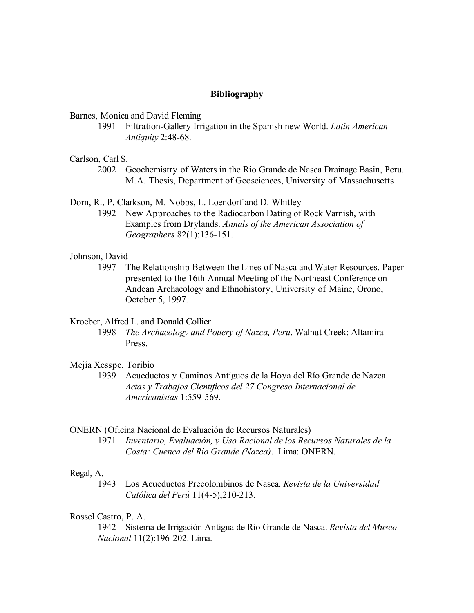## **Bibliography**

## Barnes, Monica and David Fleming

1991 Filtration-Gallery Irrigation in the Spanish new World. *Latin American Antiquity* 2:48-68.

## Carlson, Carl S.

2002 Geochemistry of Waters in the Rio Grande de Nasca Drainage Basin, Peru. M.A. Thesis, Department of Geosciences, University of Massachusetts

Dorn, R., P. Clarkson, M. Nobbs, L. Loendorf and D. Whitley

1992 New Approaches to the Radiocarbon Dating of Rock Varnish, with Examples from Drylands. *Annals of the American Association of Geographers* 82(1):136-151.

#### Johnson, David

1997 The Relationship Between the Lines of Nasca and Water Resources. Paper presented to the 16th Annual Meeting of the Northeast Conference on Andean Archaeology and Ethnohistory, University of Maine, Orono, October 5, 1997.

#### Kroeber, Alfred L. and Donald Collier

1998 *The Archaeology and Pottery of Nazca, Peru*. Walnut Creek: Altamira Press.

#### Mejía Xesspe, Toribio

1939 Acueductos y Caminos Antiguos de la Hoya del Río Grande de Nazca. *Actas y Trabajos Cientificos del 27 Congreso Internacional de Americanistas* 1:559-569.

#### ONERN (Oficina Nacional de Evaluación de Recursos Naturales)

1971 *Inventario, Evaluación, y Uso Racional de los Recursos Naturales de la Costa: Cuenca del Río Grande (Nazca)*. Lima: ONERN.

#### Regal, A.

1943 Los Acueductos Precolombinos de Nasca. *Revista de la Universidad Católica del Perú* 11(4-5);210-213.

#### Rossel Castro, P. A.

1942 Sistema de Irrigación Antigua de Rio Grande de Nasca. *Revista del Museo Nacional* 11(2):196-202. Lima.